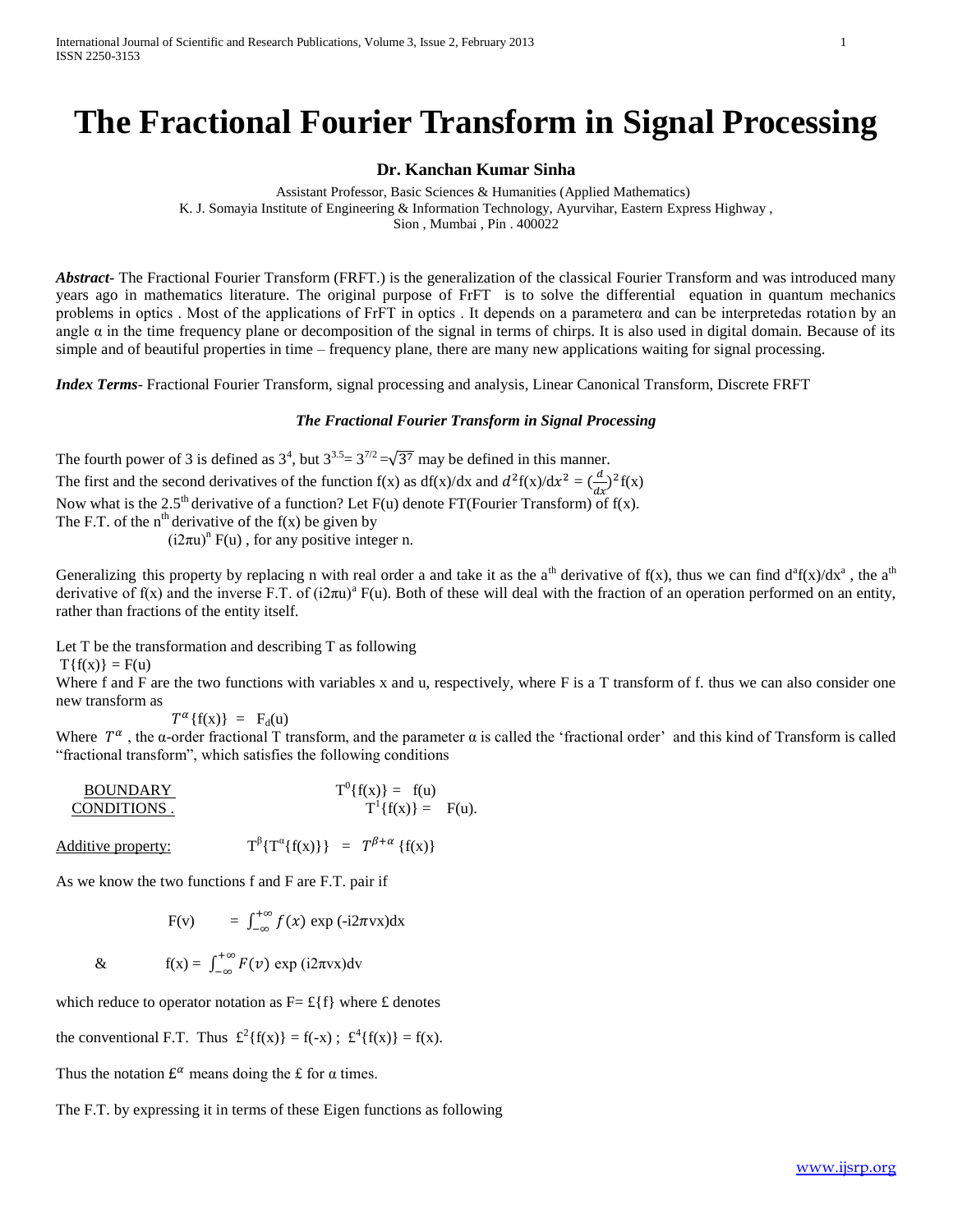# **The Fractional Fourier Transform in Signal Processing**

### **Dr. Kanchan Kumar Sinha**

 Assistant Professor, Basic Sciences & Humanities (Applied Mathematics) K. J. Somayia Institute of Engineering & Information Technology, Ayurvihar, Eastern Express Highway , Sion , Mumbai , Pin . 400022

*Abstract***-** The Fractional Fourier Transform (FRFT.) is the generalization of the classical Fourier Transform and was introduced many years ago in mathematics literature. The original purpose of FrFT is to solve the differential equation in quantum mechanics problems in optics . Most of the applications of FrFT in optics . It depends on a parameterα and can be interpretedas rotation by an angle  $\alpha$  in the time frequency plane or decomposition of the signal in terms of chirps. It is also used in digital domain. Because of its simple and of beautiful properties in time – frequency plane, there are many new applications waiting for signal processing.

*Index Terms*- Fractional Fourier Transform, signal processing and analysis, Linear Canonical Transform, Discrete FRFT

#### *The Fractional Fourier Transform in Signal Processing*

The fourth power of 3 is defined as  $3^4$ , but  $3^{3.5} = 3^{7/2} = \sqrt{3^7}$  may be defined in this manner. The first and the second derivatives of the function  $f(x)$  as  $df(x)/dx$  and  $d^2f(x)/dx^2 = (\frac{d}{dx})^2f(x)$ Now what is the 2.5<sup>th</sup> derivative of a function? Let F(u) denote FT(Fourier Transform) of f(x). The F.T. of the  $n<sup>th</sup>$  derivative of the  $f(x)$  be given by  $(i2\pi u)^n$  F(u), for any positive integer n.

Generalizing this property by replacing n with real order a and take it as the a<sup>th</sup> derivative of f(x), thus we can find  $d^a f(x)/dx^a$ , the a<sup>th</sup> derivative of  $f(x)$  and the inverse F.T. of  $(i2\pi u)^{a} F(u)$ . Both of these will deal with the fraction of an operation performed on an entity, rather than fractions of the entity itself.

Let T be the transformation and describing T as following

 $T{f(x)} = F(u)$ 

Where f and F are the two functions with variables x and u, respectively, where F is a T transform of f. thus we can also consider one new transform as

 $T^{\alpha} \{f(x)\} = F_d(u)$ 

Where  $T^{\alpha}$ , the α-order fractional T transform, and the parameter  $\alpha$  is called the 'fractional order' and this kind of Transform is called "fractional transform", which satisfies the following conditions

| <b>BOUNDARY</b> | $T^{0} \{f(x)\} = f(u)$  |  |
|-----------------|--------------------------|--|
| CONDITIONS.     | $T^{1} \{f(x)\} = F(u).$ |  |

Additive property:

$$
\beta \{T^{\alpha}\{f(x)\}\} = T^{\beta+\alpha} \{f(x)\}
$$

As we know the two functions f and F are F.T. pair if

$$
F(v) = \int_{-\infty}^{+\infty} f(x) \exp(-i2\pi vx) dx
$$

& 
$$
f(x) = \int_{-\infty}^{+\infty} F(v) \exp(i2\pi vx) dv
$$

which reduce to operator notation as  $F = \pounds \{f\}$  where  $\pounds$  denotes

the conventional F.T. Thus  $\mathcal{L}^2\{f(x)\} = f(-x)$ ;  $\mathcal{L}^4\{f(x)\} = f(x)$ .

Thus the notation  $E^{\alpha}$  means doing the £ for  $\alpha$  times.

The F.T. by expressing it in terms of these Eigen functions as following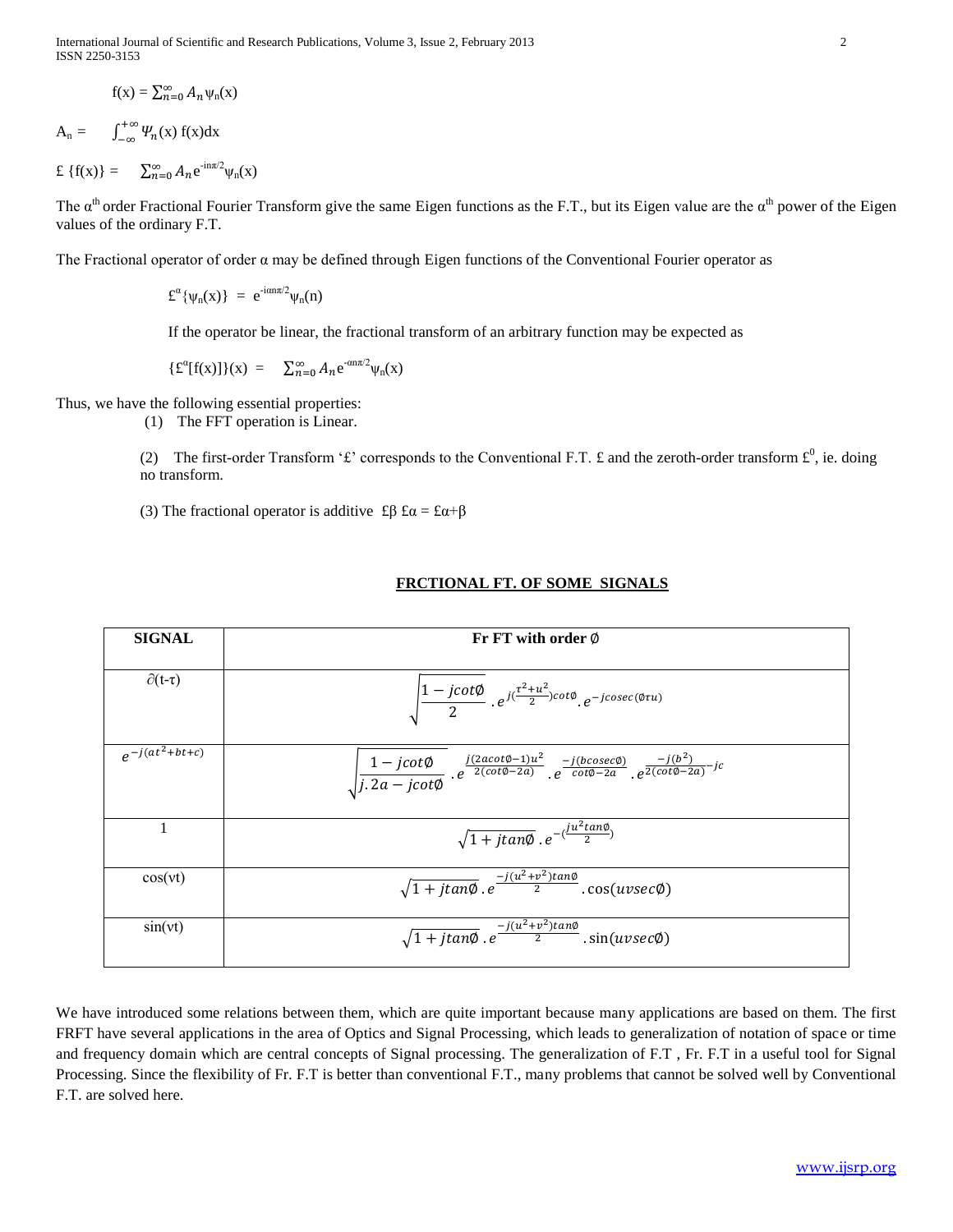International Journal of Scientific and Research Publications, Volume 3, Issue 2, February 2013 2 ISSN 2250-3153

$$
f(x) = \sum_{n=0}^{\infty} A_n \psi_n(x)
$$

$$
A_n = \int_{-\infty}^{+\infty} \Psi_n(x) f(x) dx
$$

 $\mathfrak{L} \{f(x)\} = \sum_{n=0}^{\infty} A_n e^{-in\pi/2} \psi_n(x)$ 

The  $\alpha^{th}$  order Fractional Fourier Transform give the same Eigen functions as the F.T., but its Eigen value are the  $\alpha^{th}$  power of the Eigen values of the ordinary F.T.

The Fractional operator of order  $\alpha$  may be defined through Eigen functions of the Conventional Fourier operator as

 $\mathbf{\pounds}^{\alpha} \{ \psi_n(\mathbf{x}) \} = e^{-i \alpha n \pi/2} \psi_n(\mathbf{n})$ 

If the operator be linear, the fractional transform of an arbitrary function may be expected as

 $\{f^{\alpha}[f(x)]\}(x) = \sum_{n=0}^{\infty} A_n e^{-\alpha n \pi/2} \psi_n(x)$ 

Thus, we have the following essential properties:

(1) The FFT operation is Linear.

(2) The first-order Transform ' $\mathbf{f}'$  corresponds to the Conventional F.T.  $\mathbf{f}$  and the zeroth-order transform  $\mathbf{f}^0$ , ie. doing no transform.

(3) The fractional operator is additive  $\text{\pounds}\beta \text{\pounds}\alpha = \text{\pounds}\alpha + \beta$ 

#### **SIGNAL Fr** FT with order  $\emptyset$ ∂(t-τ)  $\sqrt{\frac{1}{2}}$  $\frac{jcot\emptyset}{2}$  .  $e^{j(\frac{\tau^2+u^2}{2})}$  $rac{1}{2}$ )cot $\emptyset$ <sub>,  $e^-$ </sub>  $e^{-j(at^2)}$  $\frac{1}{\sqrt{2}}$  $\frac{1}{j \cdot 2a - j \cot \phi}$ .  $j(2acot\emptyset-1)u^2$  $rac{2acot \emptyset -1)u^2}{2(cot \emptyset -2a)}$   $e^{-\frac{1}{c}}$  $-j(b^2)$  $\frac{f(b')}{2(cot\emptyset-2a)}$ 1  $\sqrt{1+jtan\phi}$  .  $e^{-(\frac{ju^2}{2})}$  $\frac{\text{curv}}{2}$ )  $\sqrt{1}$  $-j(u^2+v^2)$ 2  $\sin(vt)$   $\sqrt{1}$  $-j(u^2+v^2)$ 2

## **FRCTIONAL FT. OF SOME SIGNALS**

We have introduced some relations between them, which are quite important because many applications are based on them. The first FRFT have several applications in the area of Optics and Signal Processing, which leads to generalization of notation of space or time and frequency domain which are central concepts of Signal processing. The generalization of F.T , Fr. F.T in a useful tool for Signal Processing. Since the flexibility of Fr. F.T is better than conventional F.T., many problems that cannot be solved well by Conventional F.T. are solved here.